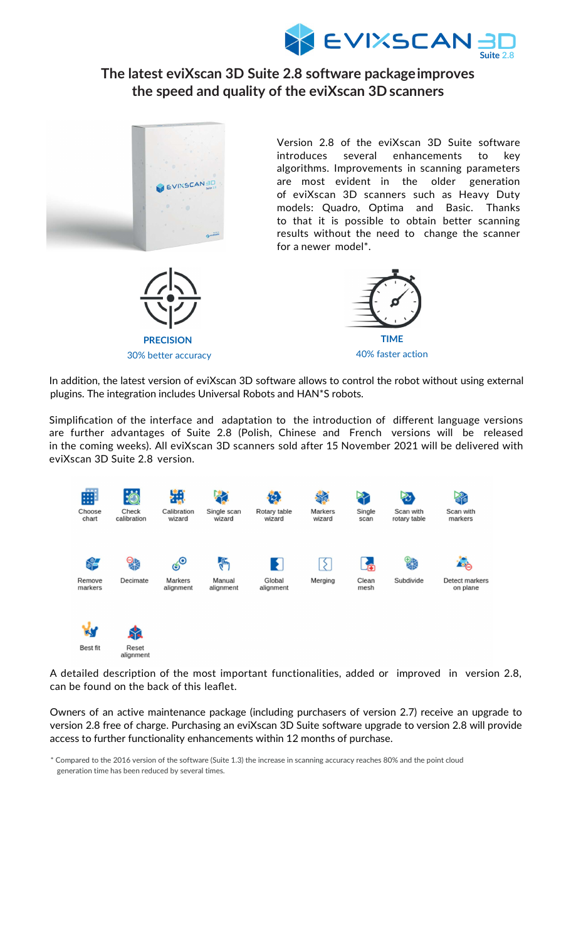

## The latest eviXscan 3D Suite 2.8 software package improves the speed and quality of the eviXscan 3D scanners



Best fit

Reset alignment



Version 2.8 of the eviXscan 3D Suite software introduces several enhancements to key algorithms. Improvements in scanning parameters are most evident in the older generation of eviXscan 3D scanners such as Heavy Duty models: Quadro, Optima and Basic. Thanks to that it is possible to obtain better scanning results without the need to change the scanner for a newer model\*.



In addition, the latest version of eviXscan 3D software allows to control the robot without using external plugins. The integration includes Universal Robots and HAN\*S robots.

Simplification of the interface and adaptation to the introduction of different language versions are further advantages of Suite 2.8 (Polish, Chinese and French versions will be released in the coming weeks). All eviXscan 3D scanners sold after 15 November 2021 will be delivered with eviXscan 3D Suite 2.8 version.



A detailed description of the most important functionalities, added or improved in version 2.8, can be found on the back of this leaflet.

Owners of an active maintenance package (including purchasers of version 2.7) receive an upgrade to version 2.8 free of charge. Purchasing an eviXscan 3D Suite software upgrade to version 2.8 will provide access to further functionality enhancements within 12 months of purchase.

\* Compared to the 2016 version of the software (Suite 1.3) the increase in scanning accuracy reaches 80% and the point cloud generation time has been reduced by several times.